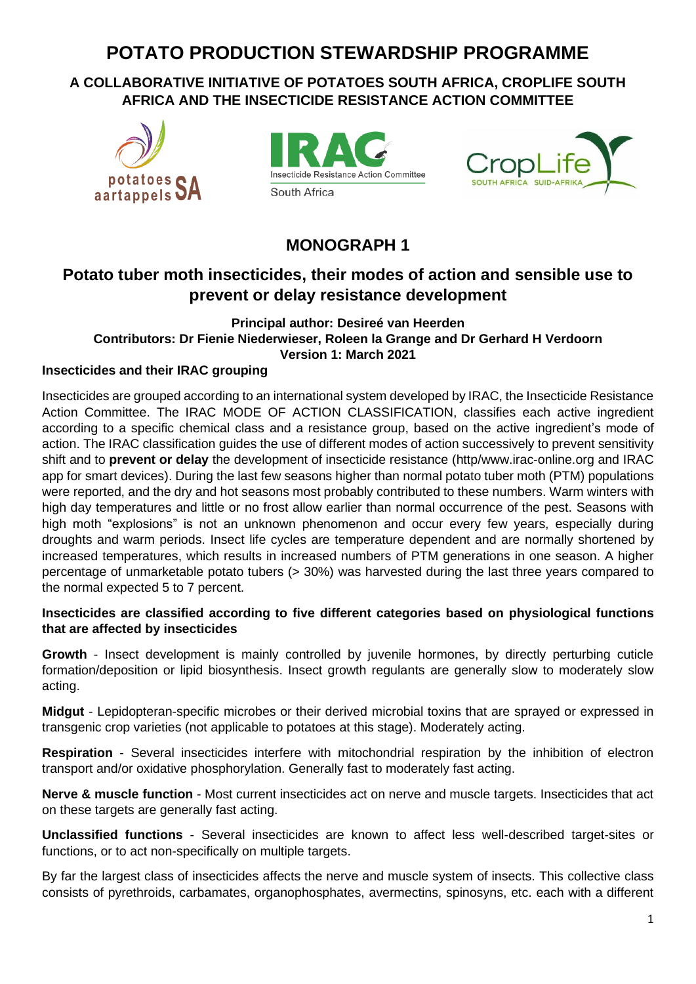# **POTATO PRODUCTION STEWARDSHIP PROGRAMME**

# **A COLLABORATIVE INITIATIVE OF POTATOES SOUTH AFRICA, CROPLIFE SOUTH AFRICA AND THE INSECTICIDE RESISTANCE ACTION COMMITTEE**







# **MONOGRAPH 1**

# **Potato tuber moth insecticides, their modes of action and sensible use to prevent or delay resistance development**

### **Principal author: Desireé van Heerden Contributors: Dr Fienie Niederwieser, Roleen la Grange and Dr Gerhard H Verdoorn Version 1: March 2021**

# **Insecticides and their IRAC grouping**

Insecticides are grouped according to an international system developed by IRAC, the Insecticide Resistance Action Committee. The IRAC MODE OF ACTION CLASSIFICATION, classifies each active ingredient according to a specific chemical class and a resistance group, based on the active ingredient's mode of action. The IRAC classification guides the use of different modes of action successively to prevent sensitivity shift and to **prevent or delay** the development of insecticide resistance (http/www.irac-online.org and IRAC app for smart devices). During the last few seasons higher than normal potato tuber moth (PTM) populations were reported, and the dry and hot seasons most probably contributed to these numbers. Warm winters with high day temperatures and little or no frost allow earlier than normal occurrence of the pest. Seasons with high moth "explosions" is not an unknown phenomenon and occur every few years, especially during droughts and warm periods. Insect life cycles are temperature dependent and are normally shortened by increased temperatures, which results in increased numbers of PTM generations in one season. A higher percentage of unmarketable potato tubers (> 30%) was harvested during the last three years compared to the normal expected 5 to 7 percent.

### **Insecticides are classified according to five different categories based on physiological functions that are affected by insecticides**

**Growth** - Insect development is mainly controlled by juvenile hormones, by directly perturbing cuticle formation/deposition or lipid biosynthesis. Insect growth regulants are generally slow to moderately slow acting.

**Midgut** - Lepidopteran-specific microbes or their derived microbial toxins that are sprayed or expressed in transgenic crop varieties (not applicable to potatoes at this stage). Moderately acting.

**Respiration** - Several insecticides interfere with mitochondrial respiration by the inhibition of electron transport and/or oxidative phosphorylation. Generally fast to moderately fast acting.

**Nerve & muscle function** - Most current insecticides act on nerve and muscle targets. Insecticides that act on these targets are generally fast acting.

**Unclassified functions** - Several insecticides are known to affect less well-described target-sites or functions, or to act non-specifically on multiple targets.

By far the largest class of insecticides affects the nerve and muscle system of insects. This collective class consists of pyrethroids, carbamates, organophosphates, avermectins, spinosyns, etc. each with a different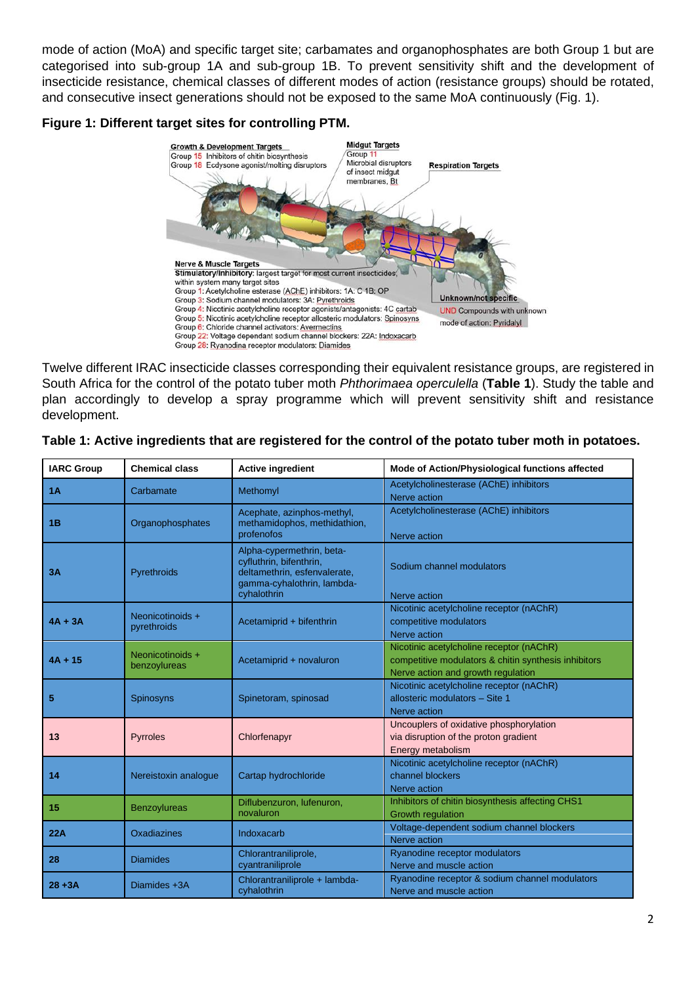mode of action (MoA) and specific target site; carbamates and organophosphates are both Group 1 but are categorised into sub-group 1A and sub-group 1B. To prevent sensitivity shift and the development of insecticide resistance, chemical classes of different modes of action (resistance groups) should be rotated, and consecutive insect generations should not be exposed to the same MoA continuously (Fig. 1).

#### **Figure 1: Different target sites for controlling PTM.**



Twelve different IRAC insecticide classes corresponding their equivalent resistance groups, are registered in South Africa for the control of the potato tuber moth *Phthorimaea operculella* (**Table 1**). Study the table and plan accordingly to develop a spray programme which will prevent sensitivity shift and resistance development.

| <b>IARC Group</b> | <b>Chemical class</b>            | <b>Active ingredient</b>                                                                                                          | Mode of Action/Physiological functions affected                                                                                        |
|-------------------|----------------------------------|-----------------------------------------------------------------------------------------------------------------------------------|----------------------------------------------------------------------------------------------------------------------------------------|
| 1A                | Carbamate                        | Methomyl                                                                                                                          | Acetylcholinesterase (AChE) inhibitors<br>Nerve action                                                                                 |
| 1B                | Organophosphates                 | Acephate, azinphos-methyl,<br>methamidophos, methidathion,<br>profenofos                                                          | Acetylcholinesterase (AChE) inhibitors<br>Nerve action                                                                                 |
| 3A                | Pyrethroids                      | Alpha-cypermethrin, beta-<br>cyfluthrin, bifenthrin,<br>deltamethrin, esfenvalerate,<br>gamma-cyhalothrin, lambda-<br>cyhalothrin | Sodium channel modulators<br>Nerve action                                                                                              |
| $4A + 3A$         | Neonicotinoids +<br>pyrethroids  | Acetamiprid + bifenthrin                                                                                                          | Nicotinic acetylcholine receptor (nAChR)<br>competitive modulators<br>Nerve action                                                     |
| $4A + 15$         | Neonicotinoids +<br>benzoylureas | Acetamiprid + novaluron                                                                                                           | Nicotinic acetylcholine receptor (nAChR)<br>competitive modulators & chitin synthesis inhibitors<br>Nerve action and growth regulation |
| 5                 | Spinosyns                        | Spinetoram, spinosad                                                                                                              | Nicotinic acetylcholine receptor (nAChR)<br>allosteric modulators - Site 1<br>Nerve action                                             |
| 13                | Pyrroles                         | Chlorfenapyr                                                                                                                      | Uncouplers of oxidative phosphorylation<br>via disruption of the proton gradient<br>Energy metabolism                                  |
| 14                | Nereistoxin analogue             | Cartap hydrochloride                                                                                                              | Nicotinic acetylcholine receptor (nAChR)<br>channel blockers<br>Nerve action                                                           |
| 15                | <b>Benzoylureas</b>              | Diflubenzuron, lufenuron,<br>novaluron                                                                                            | Inhibitors of chitin biosynthesis affecting CHS1<br><b>Growth regulation</b>                                                           |
| 22A               | Oxadiazines                      | Indoxacarb                                                                                                                        | Voltage-dependent sodium channel blockers<br>Nerve action                                                                              |
| 28                | <b>Diamides</b>                  | Chlorantraniliprole,<br>cyantraniliprole                                                                                          | Ryanodine receptor modulators<br>Nerve and muscle action                                                                               |
| $28 + 3A$         | Diamides +3A                     | Chlorantraniliprole + lambda-<br>cyhalothrin                                                                                      | Ryanodine receptor & sodium channel modulators<br>Nerve and muscle action                                                              |

#### **Table 1: Active ingredients that are registered for the control of the potato tuber moth in potatoes.**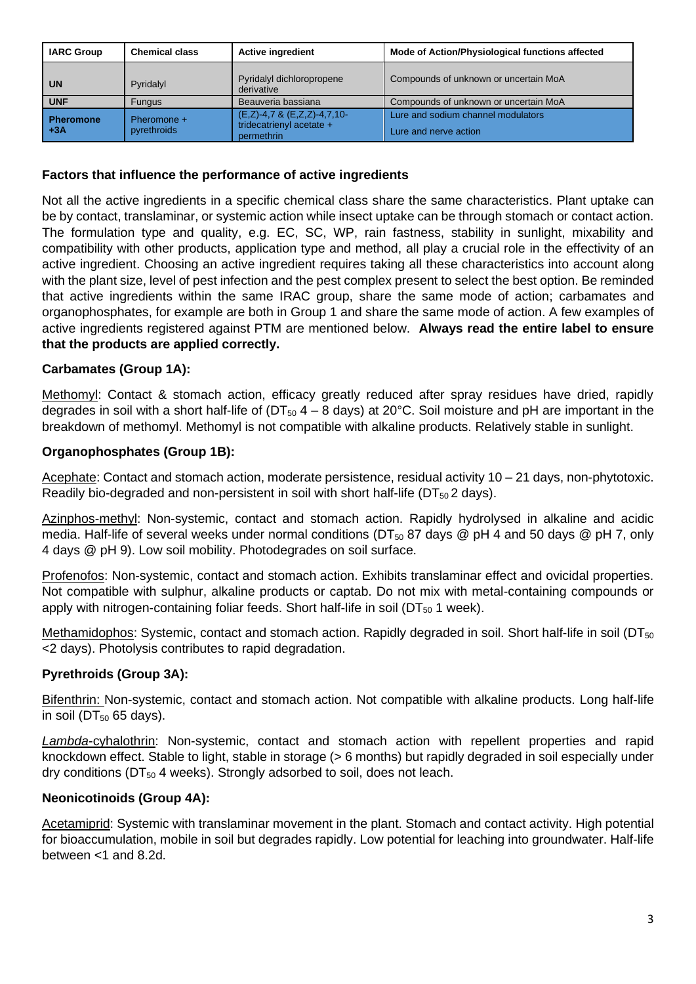| <b>IARC Group</b>         | <b>Chemical class</b>      | <b>Active ingredient</b>                                                    | Mode of Action/Physiological functions affected             |
|---------------------------|----------------------------|-----------------------------------------------------------------------------|-------------------------------------------------------------|
| UN                        | Pyridalyl                  | Pyridalyl dichloropropene<br>derivative                                     | Compounds of unknown or uncertain MoA                       |
| <b>UNF</b>                | <b>Fungus</b>              | Beauveria bassiana                                                          | Compounds of unknown or uncertain MoA                       |
| <b>Pheromone</b><br>l +3A | Pheromone +<br>pyrethroids | $(E,Z)$ -4,7 & $(E,Z,Z)$ -4,7,10-<br>tridecatrienyl acetate +<br>permethrin | Lure and sodium channel modulators<br>Lure and nerve action |

## **Factors that influence the performance of active ingredients**

Not all the active ingredients in a specific chemical class share the same characteristics. Plant uptake can be by contact, translaminar, or systemic action while insect uptake can be through stomach or contact action. The formulation type and quality, e.g. EC, SC, WP, rain fastness, stability in sunlight, mixability and compatibility with other products, application type and method, all play a crucial role in the effectivity of an active ingredient. Choosing an active ingredient requires taking all these characteristics into account along with the plant size, level of pest infection and the pest complex present to select the best option. Be reminded that active ingredients within the same IRAC group, share the same mode of action; carbamates and organophosphates, for example are both in Group 1 and share the same mode of action. A few examples of active ingredients registered against PTM are mentioned below. **Always read the entire label to ensure that the products are applied correctly.**

# **Carbamates (Group 1A):**

Methomyl: Contact & stomach action, efficacy greatly reduced after spray residues have dried, rapidly degrades in soil with a short half-life of ( $DT_{50}$  4 – 8 days) at 20°C. Soil moisture and pH are important in the breakdown of methomyl. Methomyl is not compatible with alkaline products. Relatively stable in sunlight.

### **Organophosphates (Group 1B):**

Acephate: Contact and stomach action, moderate persistence, residual activity 10 – 21 days, non-phytotoxic. Readily bio-degraded and non-persistent in soil with short half-life ( $DT_{50}$  2 days).

Azinphos-methyl: Non-systemic, contact and stomach action. Rapidly hydrolysed in alkaline and acidic media. Half-life of several weeks under normal conditions ( $DT_{50}$  87 days @ pH 4 and 50 days @ pH 7, only 4 days @ pH 9). Low soil mobility. Photodegrades on soil surface.

Profenofos: Non-systemic, contact and stomach action. Exhibits translaminar effect and ovicidal properties. Not compatible with sulphur, alkaline products or captab. Do not mix with metal-containing compounds or apply with nitrogen-containing foliar feeds. Short half-life in soil ( $DT_{50}$  1 week).

Methamidophos: Systemic, contact and stomach action. Rapidly degraded in soil. Short half-life in soil ( $DT_{50}$ ) <2 days). Photolysis contributes to rapid degradation.

#### **Pyrethroids (Group 3A):**

Bifenthrin: Non-systemic, contact and stomach action. Not compatible with alkaline products. Long half-life in soil ( $DT_{50}$  65 days).

*Lambda*-cyhalothrin: Non-systemic, contact and stomach action with repellent properties and rapid knockdown effect. Stable to light, stable in storage (> 6 months) but rapidly degraded in soil especially under dry conditions ( $DT_{50}$  4 weeks). Strongly adsorbed to soil, does not leach.

#### **Neonicotinoids (Group 4A):**

Acetamiprid: Systemic with translaminar movement in the plant. Stomach and contact activity. High potential for bioaccumulation, mobile in soil but degrades rapidly. Low potential for leaching into groundwater. Half-life between <1 and 8.2d.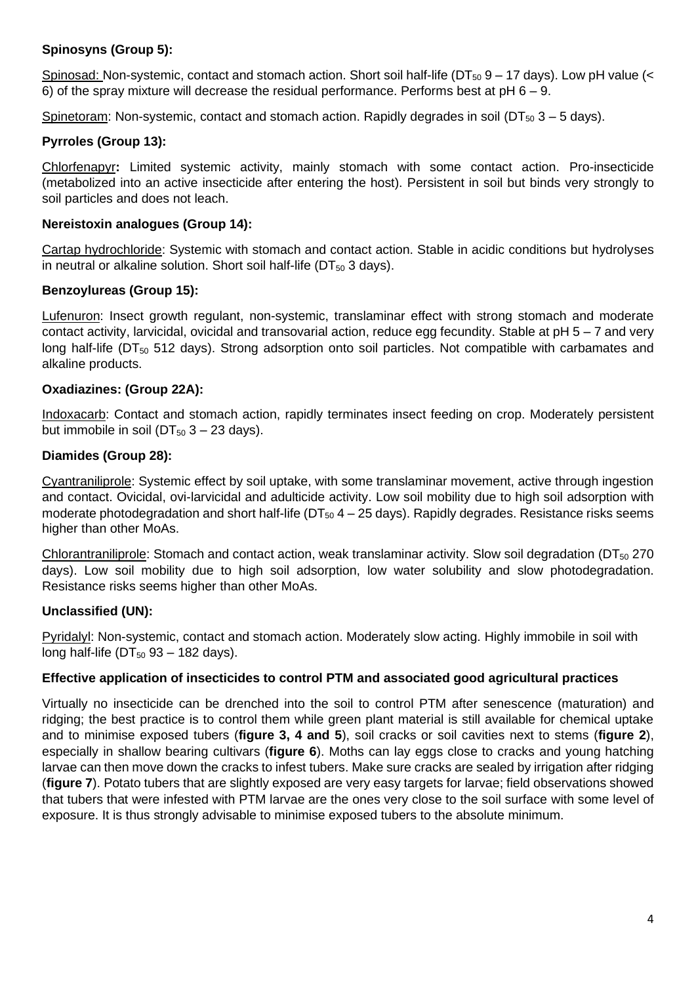# **Spinosyns (Group 5):**

Spinosad: Non-systemic, contact and stomach action. Short soil half-life (DT $_{50}$  9 – 17 days). Low pH value (< 6) of the spray mixture will decrease the residual performance. Performs best at  $pH 6 - 9$ .

Spinetoram: Non-systemic, contact and stomach action. Rapidly degrades in soil ( $DT_{50}$  3 – 5 days).

#### **Pyrroles (Group 13):**

Chlorfenapyr**:** Limited systemic activity, mainly stomach with some contact action. Pro-insecticide (metabolized into an active insecticide after entering the host). Persistent in soil but binds very strongly to soil particles and does not leach.

### **Nereistoxin analogues (Group 14):**

Cartap hydrochloride: Systemic with stomach and contact action. Stable in acidic conditions but hydrolyses in neutral or alkaline solution. Short soil half-life ( $DT_{50}$  3 days).

#### **Benzoylureas (Group 15):**

Lufenuron: Insect growth regulant, non-systemic, translaminar effect with strong stomach and moderate contact activity, larvicidal, ovicidal and transovarial action, reduce egg fecundity. Stable at pH 5 – 7 and very long half-life (DT<sub>50</sub> 512 days). Strong adsorption onto soil particles. Not compatible with carbamates and alkaline products.

#### **Oxadiazines: (Group 22A):**

Indoxacarb: Contact and stomach action, rapidly terminates insect feeding on crop. Moderately persistent but immobile in soil ( $DT_{50}$  3 – 23 days).

#### **Diamides (Group 28):**

Cyantraniliprole: Systemic effect by soil uptake, with some translaminar movement, active through ingestion and contact. Ovicidal, ovi-larvicidal and adulticide activity. Low soil mobility due to high soil adsorption with moderate photodegradation and short half-life ( $DT_{50}$  4 – 25 days). Rapidly degrades. Resistance risks seems higher than other MoAs.

Chlorantraniliprole: Stomach and contact action, weak translaminar activity. Slow soil degradation (DT<sub>50</sub> 270 days). Low soil mobility due to high soil adsorption, low water solubility and slow photodegradation. Resistance risks seems higher than other MoAs.

#### **Unclassified (UN):**

Pyridalyl: Non-systemic, contact and stomach action. Moderately slow acting. Highly immobile in soil with long half-life ( $DT_{50}$  93 – 182 days).

#### **Effective application of insecticides to control PTM and associated good agricultural practices**

Virtually no insecticide can be drenched into the soil to control PTM after senescence (maturation) and ridging; the best practice is to control them while green plant material is still available for chemical uptake and to minimise exposed tubers (**figure 3, 4 and 5**), soil cracks or soil cavities next to stems (**figure 2**), especially in shallow bearing cultivars (**figure 6**). Moths can lay eggs close to cracks and young hatching larvae can then move down the cracks to infest tubers. Make sure cracks are sealed by irrigation after ridging (**figure 7**). Potato tubers that are slightly exposed are very easy targets for larvae; field observations showed that tubers that were infested with PTM larvae are the ones very close to the soil surface with some level of exposure. It is thus strongly advisable to minimise exposed tubers to the absolute minimum.